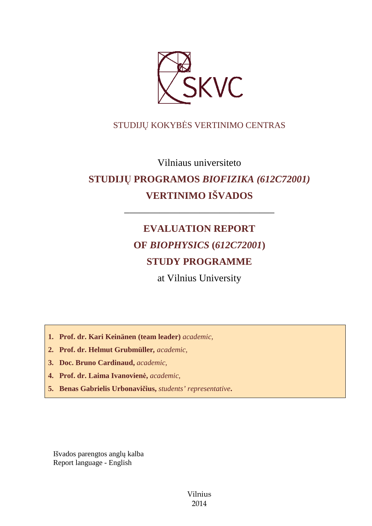

# STUDIJŲ KOKYBĖS VERTINIMO CENTRAS

Vilniaus universiteto

# **STUDIJŲ PROGRAMOS** *BIOFIZIKA (612C72001)* **VERTINIMO IŠVADOS**

––––––––––––––––––––––––––––––

# **EVALUATION REPORT OF** *BIOPHYSICS* **(***612C72001***) STUDY PROGRAMME**

at Vilnius University

**1. Prof. dr. Kari Keinänen (team leader)** *academic,*

- **2. Prof. dr. Helmut Grubmüller***, academic,*
- **3. Doc. Bruno Cardinaud,** *academic,*
- **4. Prof. dr. Laima Ivanovienė,** *academic,*
- **5. Benas Gabrielis Urbonavičius,** *students' representative***.**

Išvados parengtos anglų kalba Report language - English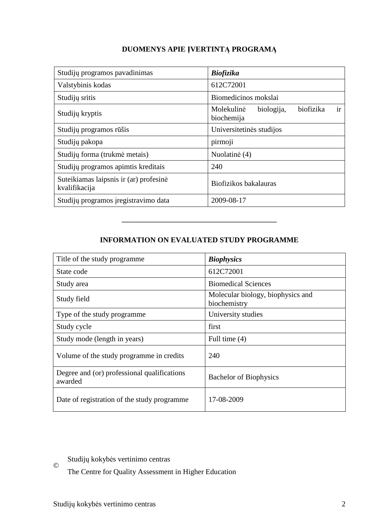# **DUOMENYS APIE ĮVERTINTĄ PROGRAMĄ**

| Studijų programos pavadinimas                           | <b>Biofizika</b>                                          |
|---------------------------------------------------------|-----------------------------------------------------------|
| Valstybinis kodas                                       | 612C72001                                                 |
| Studijų sritis                                          | Biomedicinos mokslai                                      |
| Studijų kryptis                                         | ir<br>biofizika<br>Molekulinė<br>biologija,<br>biochemija |
| Studijų programos rūšis                                 | Universitetinės studijos                                  |
| Studijų pakopa                                          | pirmoji                                                   |
| Studijų forma (trukmė metais)                           | Nuolatinė (4)                                             |
| Studijų programos apimtis kreditais                     | 240                                                       |
| Suteikiamas laipsnis ir (ar) profesinė<br>kvalifikacija | Biofizikos bakalauras                                     |
| Studijų programos įregistravimo data                    | 2009-08-17                                                |

# **INFORMATION ON EVALUATED STUDY PROGRAMME**

–––––––––––––––––––––––––––––––

| Title of the study programme.                          | <b>Biophysics</b>                                 |
|--------------------------------------------------------|---------------------------------------------------|
| State code                                             | 612C72001                                         |
| Study area                                             | <b>Biomedical Sciences</b>                        |
| Study field                                            | Molecular biology, biophysics and<br>biochemistry |
| Type of the study programme                            | University studies                                |
| Study cycle                                            | first                                             |
| Study mode (length in years)                           | Full time $(4)$                                   |
| Volume of the study programme in credits               | 240                                               |
| Degree and (or) professional qualifications<br>awarded | <b>Bachelor of Biophysics</b>                     |
| Date of registration of the study programme            | 17-08-2009                                        |

Studijų kokybės vertinimo centras

The Centre for Quality Assessment in Higher Education

©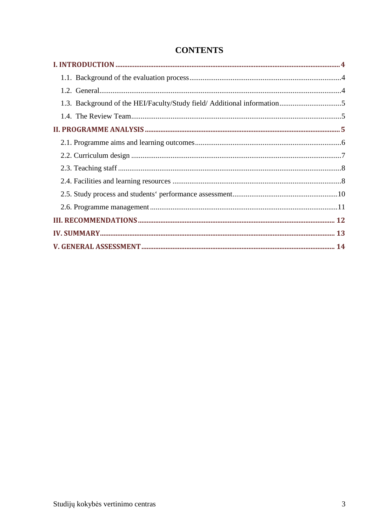| 1.3. Background of the HEI/Faculty/Study field/ Additional information5 |  |
|-------------------------------------------------------------------------|--|
|                                                                         |  |
|                                                                         |  |
|                                                                         |  |
|                                                                         |  |
|                                                                         |  |
|                                                                         |  |
|                                                                         |  |
|                                                                         |  |
|                                                                         |  |
|                                                                         |  |
|                                                                         |  |
|                                                                         |  |

# **CONTENTS**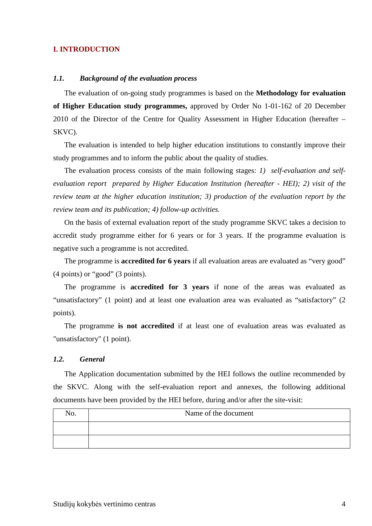## **I. INTRODUCTION**

#### *1.1. Background of the evaluation process*

The evaluation of on-going study programmes is based on the **Methodology for evaluation of Higher Education study programmes,** approved by Order No 1-01-162 of 20 December 2010 of the Director of the Centre for Quality Assessment in Higher Education (hereafter – SKVC).

The evaluation is intended to help higher education institutions to constantly improve their study programmes and to inform the public about the quality of studies.

The evaluation process consists of the main following stages: *1) self-evaluation and selfevaluation report prepared by Higher Education Institution (hereafter - HEI); 2) visit of the review team at the higher education institution; 3) production of the evaluation report by the review team and its publication; 4) follow-up activities.* 

On the basis of external evaluation report of the study programme SKVC takes a decision to accredit study programme either for 6 years or for 3 years. If the programme evaluation is negative such a programme is not accredited.

The programme is **accredited for 6 years** if all evaluation areas are evaluated as "very good" (4 points) or "good" (3 points).

The programme is **accredited for 3 years** if none of the areas was evaluated as "unsatisfactory" (1 point) and at least one evaluation area was evaluated as "satisfactory" (2 points).

The programme **is not accredited** if at least one of evaluation areas was evaluated as "unsatisfactory" (1 point).

## *1.2. General*

The Application documentation submitted by the HEI follows the outline recommended by the SKVC. Along with the self-evaluation report and annexes, the following additional documents have been provided by the HEI before, during and/or after the site-visit:

| No. | Name of the document |
|-----|----------------------|
|     |                      |
|     |                      |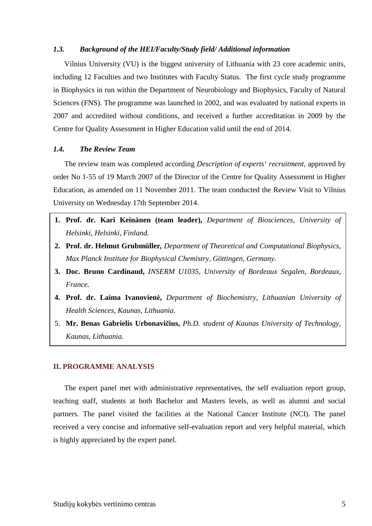#### *1.3. Background of the HEI/Faculty/Study field/ Additional information*

Vilnius University (VU) is the biggest university of Lithuania with 23 core academic units, including 12 Faculties and two Institutes with Faculty Status. The first cycle study programme in Biophysics in run within the Department of Neurobiology and Biophysics, Faculty of Natural Sciences (FNS). The programme was launched in 2002, and was evaluated by national experts in 2007 and accredited without conditions, and received a further accreditation in 2009 by the Centre for Quality Assessment in Higher Education valid until the end of 2014.

#### *1.4. The Review Team*

The review team was completed according *Description of experts' recruitment*, approved by order No 1-55 of 19 March 2007 of the Director of the Centre for Quality Assessment in Higher Education, as amended on 11 November 2011. The team conducted the Review Visit to Vilnius University on Wednesday 17th September 2014.

- **1. Prof. dr. Kari Keinänen (team leader),** *Department of Biosciences, University of Helsinki, Helsinki, Finland.*
- **2. Prof. dr. Helmut Grubmüller***, Department of Theoretical and Computational Biophysics, Max Planck Institute for Biophysical Chemistry, Göttingen, Germany.*
- **3. Doc. Bruno Cardinaud,** *INSERM U1035, University of Bordeaux Segalen, Bordeaux, France.*
- **4. Prof. dr. Laima Ivanovienė,** *Department of Biochemistry, Lithuanian University of Health Sciences, Kaunas, Lithuania.*
- 5. **Mr. Benas Gabrielis Urbonavičius,** *Ph.D. student of Kaunas University of Technology, Kaunas, Lithuania.*

#### **II. PROGRAMME ANALYSIS**

The expert panel met with administrative representatives, the self evaluation report group, teaching staff, students at both Bachelor and Masters levels, as well as alumni and social partners. The panel visited the facilities at the National Cancer Institute (NCI). The panel received a very concise and informative self-evaluation report and very helpful material, which is highly appreciated by the expert panel.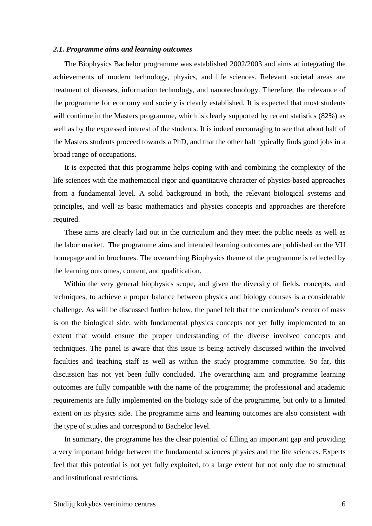#### *2.1. Programme aims and learning outcomes*

The Biophysics Bachelor programme was established 2002/2003 and aims at integrating the achievements of modern technology, physics, and life sciences. Relevant societal areas are treatment of diseases, information technology, and nanotechnology. Therefore, the relevance of the programme for economy and society is clearly established. It is expected that most students will continue in the Masters programme, which is clearly supported by recent statistics (82%) as well as by the expressed interest of the students. It is indeed encouraging to see that about half of the Masters students proceed towards a PhD, and that the other half typically finds good jobs in a broad range of occupations.

It is expected that this programme helps coping with and combining the complexity of the life sciences with the mathematical rigor and quantitative character of physics-based approaches from a fundamental level. A solid background in both, the relevant biological systems and principles, and well as basic mathematics and physics concepts and approaches are therefore required.

These aims are clearly laid out in the curriculum and they meet the public needs as well as the labor market. The programme aims and intended learning outcomes are published on the VU homepage and in brochures. The overarching Biophysics theme of the programme is reflected by the learning outcomes, content, and qualification.

Within the very general biophysics scope, and given the diversity of fields, concepts, and techniques, to achieve a proper balance between physics and biology courses is a considerable challenge. As will be discussed further below, the panel felt that the curriculum's center of mass is on the biological side, with fundamental physics concepts not yet fully implemented to an extent that would ensure the proper understanding of the diverse involved concepts and techniques. The panel is aware that this issue is being actively discussed within the involved faculties and teaching staff as well as within the study programme committee. So far, this discussion has not yet been fully concluded. The overarching aim and programme learning outcomes are fully compatible with the name of the programme; the professional and academic requirements are fully implemented on the biology side of the programme, but only to a limited extent on its physics side. The programme aims and learning outcomes are also consistent with the type of studies and correspond to Bachelor level.

In summary, the programme has the clear potential of filling an important gap and providing a very important bridge between the fundamental sciences physics and the life sciences. Experts feel that this potential is not yet fully exploited, to a large extent but not only due to structural and institutional restrictions.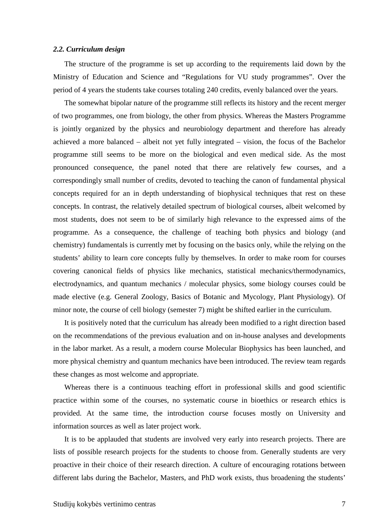#### *2.2. Curriculum design*

The structure of the programme is set up according to the requirements laid down by the Ministry of Education and Science and "Regulations for VU study programmes". Over the period of 4 years the students take courses totaling 240 credits, evenly balanced over the years.

The somewhat bipolar nature of the programme still reflects its history and the recent merger of two programmes, one from biology, the other from physics. Whereas the Masters Programme is jointly organized by the physics and neurobiology department and therefore has already achieved a more balanced – albeit not yet fully integrated – vision, the focus of the Bachelor programme still seems to be more on the biological and even medical side. As the most pronounced consequence, the panel noted that there are relatively few courses, and a correspondingly small number of credits, devoted to teaching the canon of fundamental physical concepts required for an in depth understanding of biophysical techniques that rest on these concepts. In contrast, the relatively detailed spectrum of biological courses, albeit welcomed by most students, does not seem to be of similarly high relevance to the expressed aims of the programme. As a consequence, the challenge of teaching both physics and biology (and chemistry) fundamentals is currently met by focusing on the basics only, while the relying on the students' ability to learn core concepts fully by themselves. In order to make room for courses covering canonical fields of physics like mechanics, statistical mechanics/thermodynamics, electrodynamics, and quantum mechanics / molecular physics, some biology courses could be made elective (e.g. General Zoology, Basics of Botanic and Mycology, Plant Physiology). Of minor note, the course of cell biology (semester 7) might be shifted earlier in the curriculum.

It is positively noted that the curriculum has already been modified to a right direction based on the recommendations of the previous evaluation and on in-house analyses and developments in the labor market. As a result, a modern course Molecular Biophysics has been launched, and more physical chemistry and quantum mechanics have been introduced. The review team regards these changes as most welcome and appropriate.

Whereas there is a continuous teaching effort in professional skills and good scientific practice within some of the courses, no systematic course in bioethics or research ethics is provided. At the same time, the introduction course focuses mostly on University and information sources as well as later project work.

It is to be applauded that students are involved very early into research projects. There are lists of possible research projects for the students to choose from. Generally students are very proactive in their choice of their research direction. A culture of encouraging rotations between different labs during the Bachelor, Masters, and PhD work exists, thus broadening the students'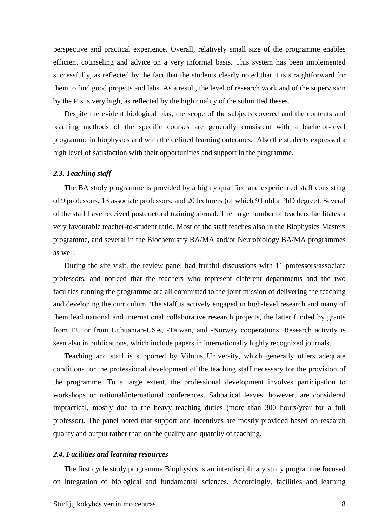perspective and practical experience. Overall, relatively small size of the programme enables efficient counseling and advice on a very informal basis. This system has been implemented successfully, as reflected by the fact that the students clearly noted that it is straightforward for them to find good projects and labs. As a result, the level of research work and of the supervision by the PIs is very high, as reflected by the high quality of the submitted theses.

Despite the evident biological bias, the scope of the subjects covered and the contents and teaching methods of the specific courses are generally consistent with a bachelor-level programme in biophysics and with the defined learning outcomes. Also the students expressed a high level of satisfaction with their opportunities and support in the programme.

#### *2.3. Teaching staff*

The BA study programme is provided by a highly qualified and experienced staff consisting of 9 professors, 13 associate professors, and 20 lecturers (of which 9 hold a PhD degree). Several of the staff have received postdoctoral training abroad. The large number of teachers facilitates a very favourable teacher-to-student ratio. Most of the staff teaches also in the Biophysics Masters programme, and several in the Biochemistry BA/MA and/or Neurobiology BA/MA programmes as well.

During the site visit, the review panel had fruitful discussions with 11 professors/associate professors, and noticed that the teachers who represent different departments and the two faculties running the programme are all committed to the joint mission of delivering the teaching and developing the curriculum. The staff is actively engaged in high-level research and many of them lead national and international collaborative research projects, the latter funded by grants from EU or from Lithuanian-USA, -Taiwan, and -Norway cooperations. Research activity is seen also in publications, which include papers in internationally highly recognized journals.

Teaching and staff is supported by Vilnius University, which generally offers adequate conditions for the professional development of the teaching staff necessary for the provision of the programme. To a large extent, the professional development involves participation to workshops or national/international conferences. Sabbatical leaves, however, are considered impractical, mostly due to the heavy teaching duties (more than 300 hours/year for a full professor). The panel noted that support and incentives are mostly provided based on research quality and output rather than on the quality and quantity of teaching.

#### *2.4. Facilities and learning resources*

The first cycle study programme Biophysics is an interdisciplinary study programme focused on integration of biological and fundamental sciences. Accordingly, facilities and learning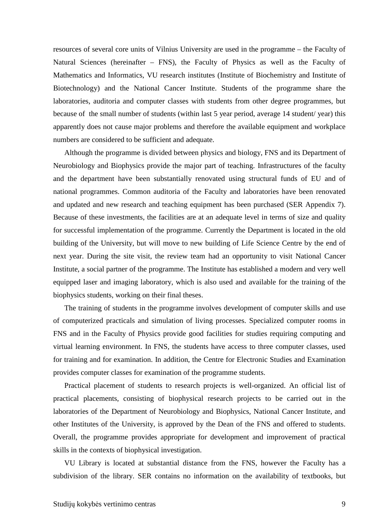resources of several core units of Vilnius University are used in the programme – the Faculty of Natural Sciences (hereinafter – FNS), the Faculty of Physics as well as the Faculty of Mathematics and Informatics, VU research institutes (Institute of Biochemistry and Institute of Biotechnology) and the National Cancer Institute. Students of the programme share the laboratories, auditoria and computer classes with students from other degree programmes, but because of the small number of students (within last 5 year period, average 14 student/ year) this apparently does not cause major problems and therefore the available equipment and workplace numbers are considered to be sufficient and adequate.

Although the programme is divided between physics and biology, FNS and its Department of Neurobiology and Biophysics provide the major part of teaching. Infrastructures of the faculty and the department have been substantially renovated using structural funds of EU and of national programmes. Common auditoria of the Faculty and laboratories have been renovated and updated and new research and teaching equipment has been purchased (SER Appendix 7). Because of these investments, the facilities are at an adequate level in terms of size and quality for successful implementation of the programme. Currently the Department is located in the old building of the University, but will move to new building of Life Science Centre by the end of next year. During the site visit, the review team had an opportunity to visit National Cancer Institute, a social partner of the programme. The Institute has established a modern and very well equipped laser and imaging laboratory, which is also used and available for the training of the biophysics students, working on their final theses.

The training of students in the programme involves development of computer skills and use of computerized practicals and simulation of living processes. Specialized computer rooms in FNS and in the Faculty of Physics provide good facilities for studies requiring computing and virtual learning environment. In FNS, the students have access to three computer classes, used for training and for examination. In addition, the Centre for Electronic Studies and Examination provides computer classes for examination of the programme students.

Practical placement of students to research projects is well-organized. An official list of practical placements, consisting of biophysical research projects to be carried out in the laboratories of the Department of Neurobiology and Biophysics, National Cancer Institute, and other Institutes of the University, is approved by the Dean of the FNS and offered to students. Overall, the programme provides appropriate for development and improvement of practical skills in the contexts of biophysical investigation.

VU Library is located at substantial distance from the FNS, however the Faculty has a subdivision of the library. SER contains no information on the availability of textbooks, but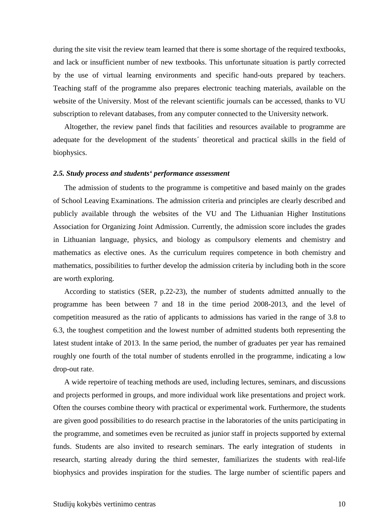during the site visit the review team learned that there is some shortage of the required textbooks, and lack or insufficient number of new textbooks. This unfortunate situation is partly corrected by the use of virtual learning environments and specific hand-outs prepared by teachers. Teaching staff of the programme also prepares electronic teaching materials, available on the website of the University. Most of the relevant scientific journals can be accessed, thanks to VU subscription to relevant databases, from any computer connected to the University network.

Altogether, the review panel finds that facilities and resources available to programme are adequate for the development of the students´ theoretical and practical skills in the field of biophysics.

#### *2.5. Study process and students' performance assessment*

The admission of students to the programme is competitive and based mainly on the grades of School Leaving Examinations. The admission criteria and principles are clearly described and publicly available through the websites of the VU and The Lithuanian Higher Institutions Association for Organizing Joint Admission. Currently, the admission score includes the grades in Lithuanian language, physics, and biology as compulsory elements and chemistry and mathematics as elective ones. As the curriculum requires competence in both chemistry and mathematics, possibilities to further develop the admission criteria by including both in the score are worth exploring.

According to statistics (SER, p.22-23), the number of students admitted annually to the programme has been between 7 and 18 in the time period 2008-2013, and the level of competition measured as the ratio of applicants to admissions has varied in the range of 3.8 to 6.3, the toughest competition and the lowest number of admitted students both representing the latest student intake of 2013. In the same period, the number of graduates per year has remained roughly one fourth of the total number of students enrolled in the programme, indicating a low drop-out rate.

A wide repertoire of teaching methods are used, including lectures, seminars, and discussions and projects performed in groups, and more individual work like presentations and project work. Often the courses combine theory with practical or experimental work. Furthermore, the students are given good possibilities to do research practise in the laboratories of the units participating in the programme, and sometimes even be recruited as junior staff in projects supported by external funds. Students are also invited to research seminars. The early integration of students in research, starting already during the third semester, familiarizes the students with real-life biophysics and provides inspiration for the studies. The large number of scientific papers and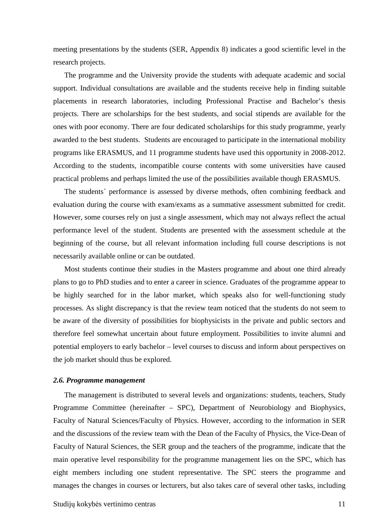meeting presentations by the students (SER, Appendix 8) indicates a good scientific level in the research projects.

The programme and the University provide the students with adequate academic and social support. Individual consultations are available and the students receive help in finding suitable placements in research laboratories, including Professional Practise and Bachelor's thesis projects. There are scholarships for the best students, and social stipends are available for the ones with poor economy. There are four dedicated scholarships for this study programme, yearly awarded to the best students. Students are encouraged to participate in the international mobility programs like ERASMUS, and 11 programme students have used this opportunity in 2008-2012. According to the students, incompatible course contents with some universities have caused practical problems and perhaps limited the use of the possibilities available though ERASMUS.

The students´ performance is assessed by diverse methods, often combining feedback and evaluation during the course with exam/exams as a summative assessment submitted for credit. However, some courses rely on just a single assessment, which may not always reflect the actual performance level of the student. Students are presented with the assessment schedule at the beginning of the course, but all relevant information including full course descriptions is not necessarily available online or can be outdated.

Most students continue their studies in the Masters programme and about one third already plans to go to PhD studies and to enter a career in science. Graduates of the programme appear to be highly searched for in the labor market, which speaks also for well-functioning study processes. As slight discrepancy is that the review team noticed that the students do not seem to be aware of the diversity of possibilities for biophysicists in the private and public sectors and therefore feel somewhat uncertain about future employment. Possibilities to invite alumni and potential employers to early bachelor – level courses to discuss and inform about perspectives on the job market should thus be explored.

#### *2.6. Programme management*

The management is distributed to several levels and organizations: students, teachers, Study Programme Committee (hereinafter – SPC), Department of Neurobiology and Biophysics, Faculty of Natural Sciences/Faculty of Physics. However, according to the information in SER and the discussions of the review team with the Dean of the Faculty of Physics, the Vice-Dean of Faculty of Natural Sciences, the SER group and the teachers of the programme, indicate that the main operative level responsibility for the programme management lies on the SPC, which has eight members including one student representative. The SPC steers the programme and manages the changes in courses or lecturers, but also takes care of several other tasks, including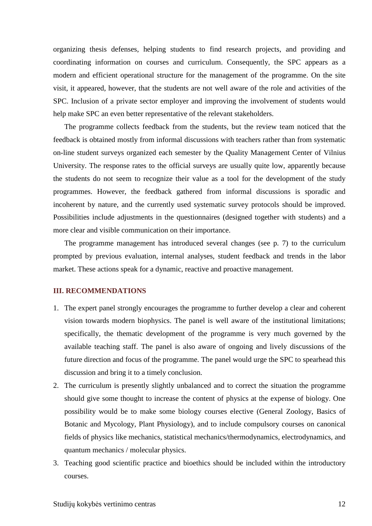organizing thesis defenses, helping students to find research projects, and providing and coordinating information on courses and curriculum. Consequently, the SPC appears as a modern and efficient operational structure for the management of the programme. On the site visit, it appeared, however, that the students are not well aware of the role and activities of the SPC. Inclusion of a private sector employer and improving the involvement of students would help make SPC an even better representative of the relevant stakeholders.

The programme collects feedback from the students, but the review team noticed that the feedback is obtained mostly from informal discussions with teachers rather than from systematic on-line student surveys organized each semester by the Quality Management Center of Vilnius University. The response rates to the official surveys are usually quite low, apparently because the students do not seem to recognize their value as a tool for the development of the study programmes. However, the feedback gathered from informal discussions is sporadic and incoherent by nature, and the currently used systematic survey protocols should be improved. Possibilities include adjustments in the questionnaires (designed together with students) and a more clear and visible communication on their importance.

The programme management has introduced several changes (see p. 7) to the curriculum prompted by previous evaluation, internal analyses, student feedback and trends in the labor market. These actions speak for a dynamic, reactive and proactive management.

## **III. RECOMMENDATIONS**

- 1. The expert panel strongly encourages the programme to further develop a clear and coherent vision towards modern biophysics. The panel is well aware of the institutional limitations; specifically, the thematic development of the programme is very much governed by the available teaching staff. The panel is also aware of ongoing and lively discussions of the future direction and focus of the programme. The panel would urge the SPC to spearhead this discussion and bring it to a timely conclusion.
- 2. The curriculum is presently slightly unbalanced and to correct the situation the programme should give some thought to increase the content of physics at the expense of biology. One possibility would be to make some biology courses elective (General Zoology, Basics of Botanic and Mycology, Plant Physiology), and to include compulsory courses on canonical fields of physics like mechanics, statistical mechanics/thermodynamics, electrodynamics, and quantum mechanics / molecular physics.
- 3. Teaching good scientific practice and bioethics should be included within the introductory courses.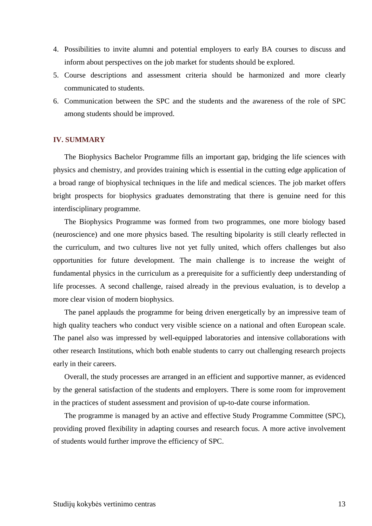- 4. Possibilities to invite alumni and potential employers to early BA courses to discuss and inform about perspectives on the job market for students should be explored.
- 5. Course descriptions and assessment criteria should be harmonized and more clearly communicated to students.
- 6. Communication between the SPC and the students and the awareness of the role of SPC among students should be improved.

#### **IV. SUMMARY**

The Biophysics Bachelor Programme fills an important gap, bridging the life sciences with physics and chemistry, and provides training which is essential in the cutting edge application of a broad range of biophysical techniques in the life and medical sciences. The job market offers bright prospects for biophysics graduates demonstrating that there is genuine need for this interdisciplinary programme.

The Biophysics Programme was formed from two programmes, one more biology based (neuroscience) and one more physics based. The resulting bipolarity is still clearly reflected in the curriculum, and two cultures live not yet fully united, which offers challenges but also opportunities for future development. The main challenge is to increase the weight of fundamental physics in the curriculum as a prerequisite for a sufficiently deep understanding of life processes. A second challenge, raised already in the previous evaluation, is to develop a more clear vision of modern biophysics.

The panel applauds the programme for being driven energetically by an impressive team of high quality teachers who conduct very visible science on a national and often European scale. The panel also was impressed by well-equipped laboratories and intensive collaborations with other research Institutions, which both enable students to carry out challenging research projects early in their careers.

Overall, the study processes are arranged in an efficient and supportive manner, as evidenced by the general satisfaction of the students and employers. There is some room for improvement in the practices of student assessment and provision of up-to-date course information.

The programme is managed by an active and effective Study Programme Committee (SPC), providing proved flexibility in adapting courses and research focus. A more active involvement of students would further improve the efficiency of SPC.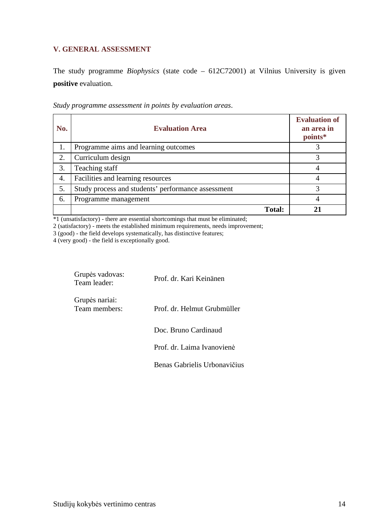# **V. GENERAL ASSESSMENT**

The study programme *Biophysics* (state code – 612C72001) at Vilnius University is given **positive** evaluation.

| No. | <b>Evaluation Area</b>                             | <b>Evaluation of</b><br>an area in<br>points* |
|-----|----------------------------------------------------|-----------------------------------------------|
| 1.  | Programme aims and learning outcomes               |                                               |
| 2.  | Curriculum design                                  |                                               |
| 3.  | Teaching staff                                     |                                               |
| 4.  | Facilities and learning resources                  |                                               |
| 5.  | Study process and students' performance assessment | 2                                             |
| 6.  | Programme management                               |                                               |
|     | <b>Total:</b>                                      |                                               |

*Study programme assessment in points by evaluation areas*.

\*1 (unsatisfactory) - there are essential shortcomings that must be eliminated;

2 (satisfactory) - meets the established minimum requirements, needs improvement;

3 (good) - the field develops systematically, has distinctive features;

4 (very good) - the field is exceptionally good.

| Grupės vadovas:<br>Team leader: | Prof. dr. Kari Keinänen      |
|---------------------------------|------------------------------|
| Grupės nariai:<br>Team members: | Prof. dr. Helmut Grubmüller  |
|                                 | Doc. Bruno Cardinaud         |
|                                 | Prof. dr. Laima Ivanovienė   |
|                                 | Benas Gabrielis Urbonavičius |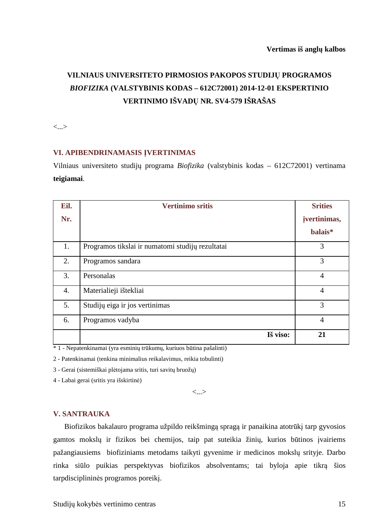# **VILNIAUS UNIVERSITETO PIRMOSIOS PAKOPOS STUDIJŲ PROGRAMOS**  *BIOFIZIKA* **(VALSTYBINIS KODAS – 612C72001) 2014-12-01 EKSPERTINIO VERTINIMO IŠVADŲ NR. SV4-579 IŠRAŠAS**

<...>

## **VI. APIBENDRINAMASIS ĮVERTINIMAS**

Vilniaus universiteto studijų programa *Biofizika* (valstybinis kodas – 612C72001) vertinama **teigiamai**.

| Eil.             | <b>Vertinimo sritis</b>                          | <b>Srities</b> |
|------------------|--------------------------------------------------|----------------|
| Nr.              |                                                  | jvertinimas,   |
|                  |                                                  | balais*        |
| 1.               | Programos tikslai ir numatomi studijų rezultatai | 3              |
| 2.               | Programos sandara                                | 3              |
| 3.               | Personalas                                       | $\overline{4}$ |
| $\overline{4}$ . | Materialieji ištekliai                           | $\overline{4}$ |
| 5.               | Studijų eiga ir jos vertinimas                   | 3              |
| 6.               | Programos vadyba                                 | $\overline{4}$ |
|                  | Iš viso:                                         | 21             |

\* 1 - Nepatenkinamai (yra esminių trūkumų, kuriuos būtina pašalinti)

2 - Patenkinamai (tenkina minimalius reikalavimus, reikia tobulinti)

3 - Gerai (sistemiškai plėtojama sritis, turi savitų bruožų)

4 - Labai gerai (sritis yra išskirtinė)

<...>

## **V. SANTRAUKA**

Biofizikos bakalauro programa užpildo reikšmingą spragą ir panaikina atotrūkį tarp gyvosios gamtos mokslų ir fizikos bei chemijos, taip pat suteikia žinių, kurios būtinos įvairiems pažangiausiems biofiziniams metodams taikyti gyvenime ir medicinos mokslų srityje. Darbo rinka siūlo puikias perspektyvas biofizikos absolventams; tai byloja apie tikrą šios tarpdisciplininės programos poreikį.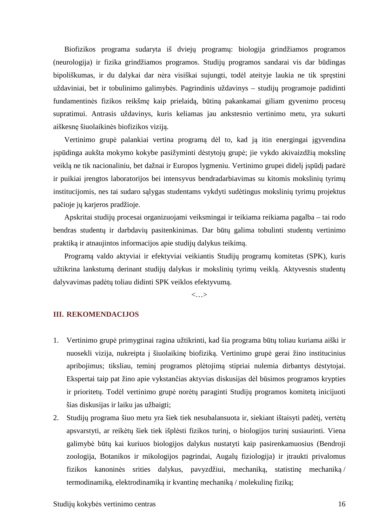Biofizikos programa sudaryta iš dviejų programų: biologija grindžiamos programos (neurologija) ir fizika grindžiamos programos. Studijų programos sandarai vis dar būdingas bipoliškumas, ir du dalykai dar nėra visiškai sujungti, todėl ateityje laukia ne tik spręstini uždaviniai, bet ir tobulinimo galimybės. Pagrindinis uždavinys – studijų programoje padidinti fundamentinės fizikos reikšmę kaip prielaidą, būtiną pakankamai giliam gyvenimo procesų supratimui. Antrasis uždavinys, kuris keliamas jau ankstesnio vertinimo metu, yra sukurti aiškesnę šiuolaikinės biofizikos viziją.

Vertinimo grupė palankiai vertina programą dėl to, kad ją itin energingai įgyvendina įspūdinga aukšta mokymo kokybe pasižyminti dėstytojų grupė; jie vykdo akivaizdžią mokslinę veiklą ne tik nacionaliniu, bet dažnai ir Europos lygmeniu. Vertinimo grupei didelį įspūdį padarė ir puikiai įrengtos laboratorijos bei intensyvus bendradarbiavimas su kitomis mokslinių tyrimų institucijomis, nes tai sudaro sąlygas studentams vykdyti sudėtingus mokslinių tyrimų projektus pačioje jų karjeros pradžioje.

Apskritai studijų procesai organizuojami veiksmingai ir teikiama reikiama pagalba – tai rodo bendras studentų ir darbdavių pasitenkinimas. Dar būtų galima tobulinti studentų vertinimo praktiką ir atnaujintos informacijos apie studijų dalykus teikimą.

Programą valdo aktyviai ir efektyviai veikiantis Studijų programų komitetas (SPK), kuris užtikrina lankstumą derinant studijų dalykus ir mokslinių tyrimų veiklą. Aktyvesnis studentų dalyvavimas padėtų toliau didinti SPK veiklos efektyvumą.

<…>

### **III. REKOMENDACIJOS**

- 1. Vertinimo grupė primygtinai ragina užtikrinti, kad šia programa būtų toliau kuriama aiški ir nuosekli vizija, nukreipta į šiuolaikinę biofiziką. Vertinimo grupė gerai žino institucinius apribojimus; tiksliau, teminį programos plėtojimą stipriai nulemia dirbantys dėstytojai. Ekspertai taip pat žino apie vykstančias aktyvias diskusijas dėl būsimos programos krypties ir prioritetų. Todėl vertinimo grupė norėtų paraginti Studijų programos komitetą inicijuoti šias diskusijas ir laiku jas užbaigti;
- 2. Studijų programa šiuo metu yra šiek tiek nesubalansuota ir, siekiant ištaisyti padėtį, vertėtų apsvarstyti, ar reikėtų šiek tiek išplėsti fizikos turinį, o biologijos turinį susiaurinti. Viena galimybė būtų kai kuriuos biologijos dalykus nustatyti kaip pasirenkamuosius (Bendroji zoologija, Botanikos ir mikologijos pagrindai, Augalų fiziologija) ir įtraukti privalomus fizikos kanoninės srities dalykus, pavyzdžiui, mechaniką, statistinę mechaniką / termodinamiką, elektrodinamiką ir kvantinę mechaniką / molekulinę fiziką;